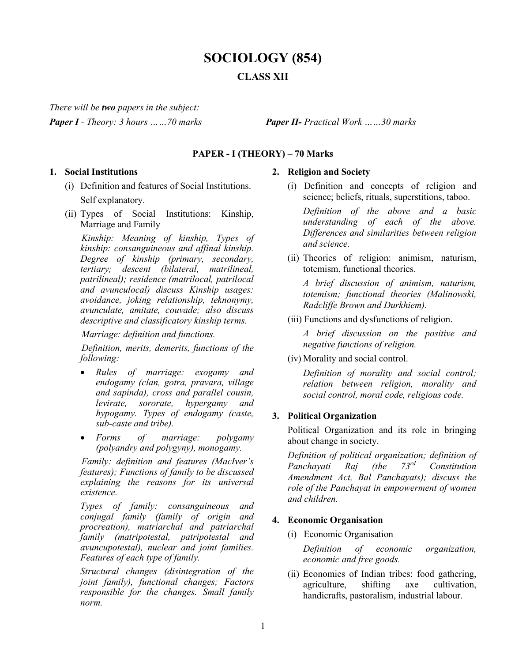# **SOCIOLOGY (854) CLASS XII**

*There will be two papers in the subject:*

*Paper I - Theory: 3 hours ……70 marks Paper II- Practical Work ……30 marks*

## **PAPER - I (THEORY) – 70 Marks**

#### **1. Social Institutions**

- (i) Definition and features of Social Institutions. Self explanatory.
- (ii) Types of Social Institutions: Kinship, Marriage and Family

 *Kinship: Meaning of kinship, Types of kinship: consanguineous and affinal kinship. Degree of kinship (primary, secondary, tertiary; descent (bilateral, matrilineal, patrilineal); residence (matrilocal, patrilocal and avunculocal) discuss Kinship usages: avoidance, joking relationship, teknonymy, avunculate, amitate, couvade; also discuss descriptive and classificatory kinship terms.*

*Marriage: definition and functions.*

 *Definition, merits, demerits, functions of the following:*

- *Rules of marriage: exogamy and endogamy (clan, gotra, pravara, village and sapinda), cross and parallel cousin, levirate, sororate, hypergamy and hypogamy. Types of endogamy (caste, sub-caste and tribe).*
- *Forms of marriage: polygamy (polyandry and polygyny), monogamy.*

 *Family: definition and features (MacIver's features); Functions of family to be discussed explaining the reasons for its universal existence.* 

*Types of family: consanguineous and conjugal family (family of origin and procreation), matriarchal and patriarchal family (matripotestal, patripotestal and avuncupotestal), nuclear and joint families. Features of each type of family.*

*Structural changes (disintegration of the joint family), functional changes; Factors responsible for the changes. Small family norm.*

# **2. Religion and Society**

(i) Definition and concepts of religion and science; beliefs, rituals, superstitions, taboo.

*Definition of the above and a basic understanding of each of the above. Differences and similarities between religion and science.*

(ii) Theories of religion: animism, naturism, totemism, functional theories.

*A brief discussion of animism, naturism, totemism; functional theories (Malinowski, Radcliffe Brown and Durkhiem).*

(iii) Functions and dysfunctions of religion.

*A brief discussion on the positive and negative functions of religion.* 

(iv) Morality and social control.

*Definition of morality and social control; relation between religion, morality and social control, moral code, religious code.*

# **3. Political Organization**

Political Organization and its role in bringing about change in society.

*Definition of political organization; definition of Panchayati Raj (the 73rd Constitution Amendment Act, Bal Panchayats); discuss the role of the Panchayat in empowerment of women and children.*

# **4. Economic Organisation**

(i) Economic Organisation

*Definition of economic organization, economic and free goods.* 

(ii) Economies of Indian tribes: food gathering, agriculture, shifting axe cultivation, handicrafts, pastoralism, industrial labour.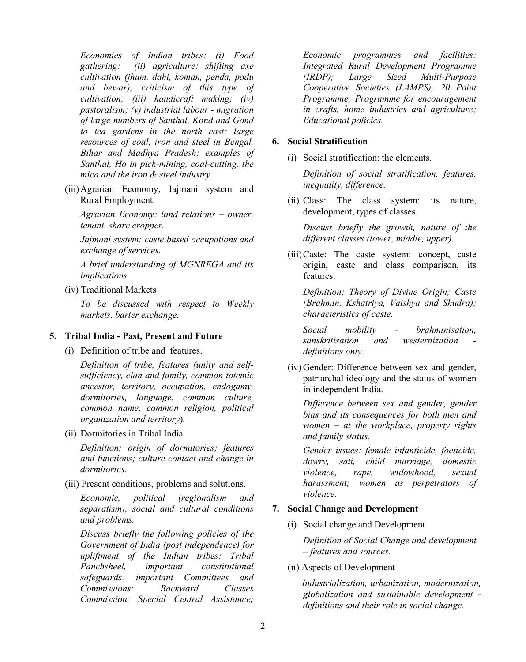*Economies of Indian tribes: (i) Food gathering; (ii) agriculture: shifting axe cultivation (jhum, dahi, koman, penda, podu and bewar), criticism of this type of cultivation; (iii) handicraft making; (iv) pastoralism; (v) industrial labour - migration of large numbers of Santhal, Kond and Gond to tea gardens in the north east; large resources of coal, iron and steel in Bengal, Bihar and Madhya Pradesh; examples of Santhal, Ho in pick-mining, coal-cutting, the mica and the iron & steel industry.*

(iii)Agrarian Economy, Jajmani system and Rural Employment.

*Agrarian Economy: land relations – owner, tenant, share cropper.*

*Jajmani system: caste based occupations and exchange of services.*

*A brief understanding of MGNREGA and its implications.*

(iv) Traditional Markets

*To be discussed with respect to Weekly markets, barter exchange.*

# **5. Tribal India - Past, Present and Future**

(i) Definition of tribe and features.

*Definition of tribe, features (unity and selfsufficiency, clan and family, common totemic ancestor, territory, occupation, endogamy, dormitories, language*, *common culture, common name, common religion, political organization and territory*)*.*

(ii) Dormitories in Tribal India

*Definition; origin of dormitories; features and functions; culture contact and change in dormitories.*

(iii) Present conditions, problems and solutions.

*Economic, political (regionalism and separatism), social and cultural conditions and problems.*

*Discuss briefly the following policies of the Government of India (post independence) for upliftment of the Indian tribes: Tribal Panchsheel, important constitutional safeguards: important Committees and Commissions: Backward Classes Commission; Special Central Assistance;* *Economic programmes and facilities: Integrated Rural Development Programme (IRDP); Large Sized Multi-Purpose Cooperative Societies (LAMPS); 20 Point Programme; Programme for encouragement in crafts, home industries and agriculture; Educational policies.*

## **6. Social Stratification**

(i) Social stratification: the elements.

*Definition of social stratification, features, inequality, difference.*

(ii) Class: The class system: its nature, development, types of classes.

*Discuss briefly the growth, nature of the different classes (lower, middle, upper).*

(iii)Caste: The caste system: concept, caste origin, caste and class comparison, its features.

*Definition; Theory of Divine Origin; Caste (Brahmin, Kshatriya, Vaishya and Shudra); characteristics of caste.*

*Social mobility - brahminisation, sanskritisation and westernization definitions only.*

(iv) Gender: Difference between sex and gender, patriarchal ideology and the status of women in independent India.

*Difference between sex and gender, gender bias and its consequences for both men and women – at the workplace, property rights and family status.*

*Gender issues: female infanticide, foeticide, dowry, sati, child marriage, domestic violence, rape, widowhood, sexual harassment; women as perpetrators of violence.*

# **7. Social Change and Development**

(i) Social change and Development

*Definition of Social Change and development – features and sources.*

(ii) Aspects of Development

 *Industrialization, urbanization, modernization, globalization and sustainable development definitions and their role in social change.*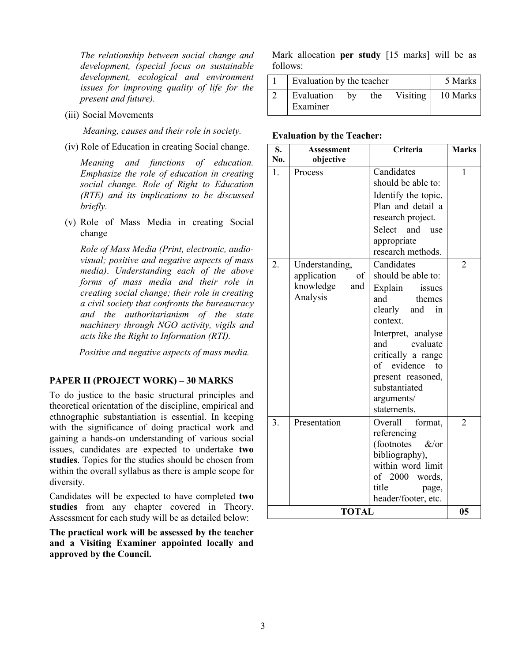*The relationship between social change and development, (special focus on sustainable development, ecological and environment issues for improving quality of life for the present and future).*

(iii) Social Movements

 *Meaning, causes and their role in society.*

(iv) Role of Education in creating Social change.

*Meaning and functions of education. Emphasize the role of education in creating social change. Role of Right to Education (RTE) and its implications to be discussed briefly.* 

(v) Role of Mass Media in creating Social change

*Role of Mass Media (Print, electronic, audiovisual; positive and negative aspects of mass media)*. *Understanding each of the above forms of mass media and their role in creating social change; their role in creating a civil society that confronts the bureaucracy and the authoritarianism of the state machinery through NGO activity, vigils and acts like the Right to Information (RTI).*

 *Positive and negative aspects of mass media.*

#### **PAPER II (PROJECT WORK) – 30 MARKS**

To do justice to the basic structural principles and theoretical orientation of the discipline, empirical and ethnographic substantiation is essential. In keeping with the significance of doing practical work and gaining a hands-on understanding of various social issues, candidates are expected to undertake **two studies**. Topics for the studies should be chosen from within the overall syllabus as there is ample scope for diversity.

Candidates will be expected to have completed **two studies** from any chapter covered in Theory. Assessment for each study will be as detailed below:

**The practical work will be assessed by the teacher and a Visiting Examiner appointed locally and approved by the Council.**

Mark allocation **per study** [15 marks] will be as follows:

| Evaluation by the teacher | 5 Marks |     |          |          |
|---------------------------|---------|-----|----------|----------|
| Evaluation<br>Examiner    | bv      | the | Visiting | 10 Marks |

#### **Evaluation by the Teacher:**

| S.<br>No.    | Assessment<br>objective                                             | Criteria                                                                                                                                                                                                                                                          | <b>Marks</b>   |  |
|--------------|---------------------------------------------------------------------|-------------------------------------------------------------------------------------------------------------------------------------------------------------------------------------------------------------------------------------------------------------------|----------------|--|
| 1.           | Process                                                             | Candidates<br>should be able to:<br>Identify the topic.<br>Plan and detail a<br>research project.<br>Select and<br>use<br>appropriate<br>research methods.                                                                                                        | 1              |  |
| 2.           | Understanding,<br>application<br>of<br>knowledge<br>and<br>Analysis | Candidates<br>should be able to:<br>Explain<br>issues<br>and<br>themes<br>clearly<br>and<br>in<br>context.<br>Interpret, analyse<br>evaluate<br>and<br>critically a range<br>of evidence<br>tο<br>present reasoned,<br>substantiated<br>arguments/<br>statements. | 2              |  |
| 3.           | Presentation                                                        | Overall<br>format,<br>referencing<br>(footnotes<br>$&\text{/or}$<br>bibliography),<br>within word limit<br>of 2000 words,<br>title<br>page,<br>header/footer, etc.                                                                                                | $\overline{2}$ |  |
| <b>TOTAL</b> |                                                                     |                                                                                                                                                                                                                                                                   |                |  |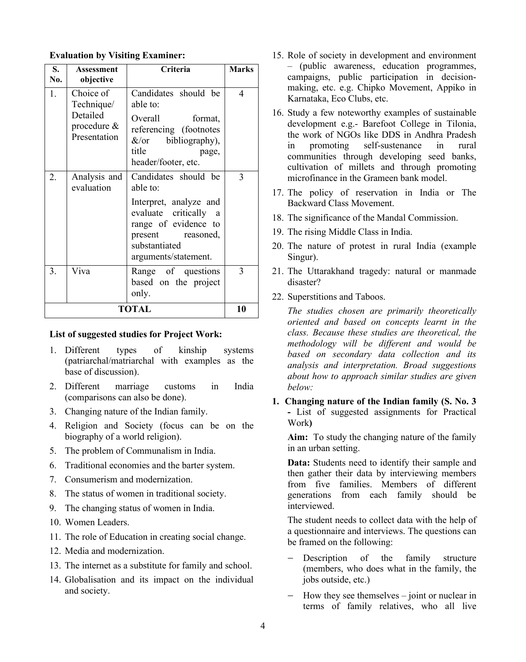| S.<br>No.    | Assessment<br>objective                                            | Criteria                                                                                                                                                                                   | <b>Marks</b> |  |
|--------------|--------------------------------------------------------------------|--------------------------------------------------------------------------------------------------------------------------------------------------------------------------------------------|--------------|--|
| 1.           | Choice of<br>Technique/<br>Detailed<br>procedure &<br>Presentation | Candidates should be<br>able to:<br>Overall<br>format,<br>referencing (footnotes<br>bibliography),<br>$\&$ /or<br>title<br>page,<br>header/footer, etc.                                    | 4            |  |
| 2.           | Analysis and<br>evaluation                                         | Candidates should be<br>able to:<br>Interpret, analyze and<br>evaluate critically<br><sub>a</sub><br>range of evidence to<br>present<br>reasoned,<br>substantiated<br>arguments/statement. | 3            |  |
| 3.           | Viva                                                               | Range of questions<br>based on the project<br>only.                                                                                                                                        | 3            |  |
| <b>TOTAL</b> |                                                                    |                                                                                                                                                                                            |              |  |

### **Evaluation by Visiting Examiner:**

#### **List of suggested studies for Project Work:**

- 1. Different types of kinship systems (patriarchal/matriarchal with examples as the base of discussion).
- 2. Different marriage customs in India (comparisons can also be done).
- 3. Changing nature of the Indian family.
- 4. Religion and Society (focus can be on the biography of a world religion).
- 5. The problem of Communalism in India.
- 6. Traditional economies and the barter system.
- 7. Consumerism and modernization.
- 8. The status of women in traditional society.
- 9. The changing status of women in India.
- 10. Women Leaders.
- 11. The role of Education in creating social change.
- 12. Media and modernization.
- 13. The internet as a substitute for family and school.
- 14. Globalisation and its impact on the individual and society.
- 15. Role of society in development and environment – (public awareness, education programmes, campaigns, public participation in decisionmaking, etc. e.g. Chipko Movement, Appiko in Karnataka, Eco Clubs, etc.
- 16. Study a few noteworthy examples of sustainable development e.g.- Barefoot College in Tilonia, the work of NGOs like DDS in Andhra Pradesh in promoting self-sustenance in rural communities through developing seed banks, cultivation of millets and through promoting microfinance in the Grameen bank model.
- 17. The policy of reservation in India or The Backward Class Movement.
- 18. The significance of the Mandal Commission.
- 19. The rising Middle Class in India.
- 20. The nature of protest in rural India (example Singur).
- 21. The Uttarakhand tragedy: natural or manmade disaster?
- 22. Superstitions and Taboos.

*The studies chosen are primarily theoretically oriented and based on concepts learnt in the class. Because these studies are theoretical, the methodology will be different and would be based on secondary data collection and its analysis and interpretation. Broad suggestions about how to approach similar studies are given below:*

**1. Changing nature of the Indian family (S. No. 3 -** List of suggested assignments for Practical Work**)**

**Aim:** To study the changing nature of the family in an urban setting.

**Data:** Students need to identify their sample and then gather their data by interviewing members from five families. Members of different generations from each family should be interviewed.

The student needs to collect data with the help of a questionnaire and interviews. The questions can be framed on the following:

- − Description of the family structure (members, who does what in the family, the jobs outside, etc.)
- − How they see themselves joint or nuclear in terms of family relatives, who all live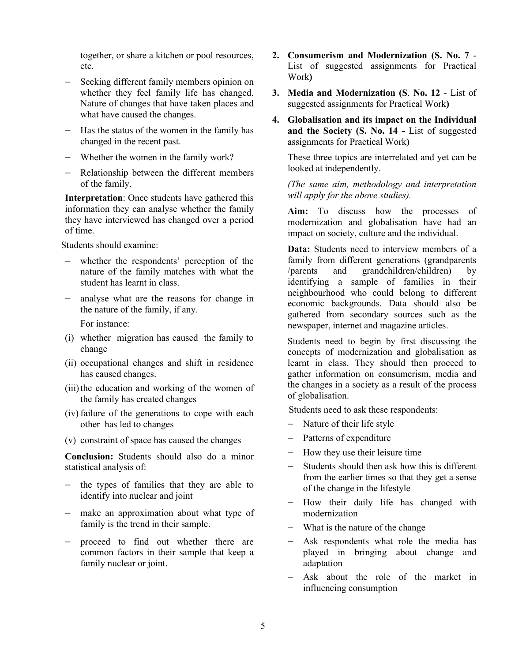together, or share a kitchen or pool resources, etc.

- − Seeking different family members opinion on whether they feel family life has changed. Nature of changes that have taken places and what have caused the changes.
- − Has the status of the women in the family has changed in the recent past.
- − Whether the women in the family work?
- − Relationship between the different members of the family.

**Interpretation**: Once students have gathered this information they can analyse whether the family they have interviewed has changed over a period of time.

Students should examine:

- whether the respondents' perception of the nature of the family matches with what the student has learnt in class.
- analyse what are the reasons for change in the nature of the family, if any.

For instance:

- (i) whether migration has caused the family to change
- (ii) occupational changes and shift in residence has caused changes.
- (iii) the education and working of the women of the family has created changes
- (iv) failure of the generations to cope with each other has led to changes
- (v) constraint of space has caused the changes

**Conclusion:** Students should also do a minor statistical analysis of:

- − the types of families that they are able to identify into nuclear and joint
- − make an approximation about what type of family is the trend in their sample.
- − proceed to find out whether there are common factors in their sample that keep a family nuclear or joint.
- **2. Consumerism and Modernization (S. No. 7** List of suggested assignments for Practical Work**)**
- **3. Media and Modernization (S**. **No. 12** List of suggested assignments for Practical Work**)**
- **4. Globalisation and its impact on the Individual and the Society (S. No. 14 -** List of suggested assignments for Practical Work**)**

These three topics are interrelated and yet can be looked at independently.

*(The same aim, methodology and interpretation will apply for the above studies).*

**Aim:** To discuss how the processes of modernization and globalisation have had an impact on society, culture and the individual.

**Data:** Students need to interview members of a family from different generations (grandparents /parents and grandchildren/children) by identifying a sample of families in their neighbourhood who could belong to different economic backgrounds. Data should also be gathered from secondary sources such as the newspaper, internet and magazine articles.

Students need to begin by first discussing the concepts of modernization and globalisation as learnt in class. They should then proceed to gather information on consumerism, media and the changes in a society as a result of the process of globalisation.

Students need to ask these respondents:

- − Nature of their life style
- − Patterns of expenditure
- − How they use their leisure time
- Students should then ask how this is different from the earlier times so that they get a sense of the change in the lifestyle
- − How their daily life has changed with modernization
- − What is the nature of the change
- − Ask respondents what role the media has played in bringing about change and adaptation
- − Ask about the role of the market in influencing consumption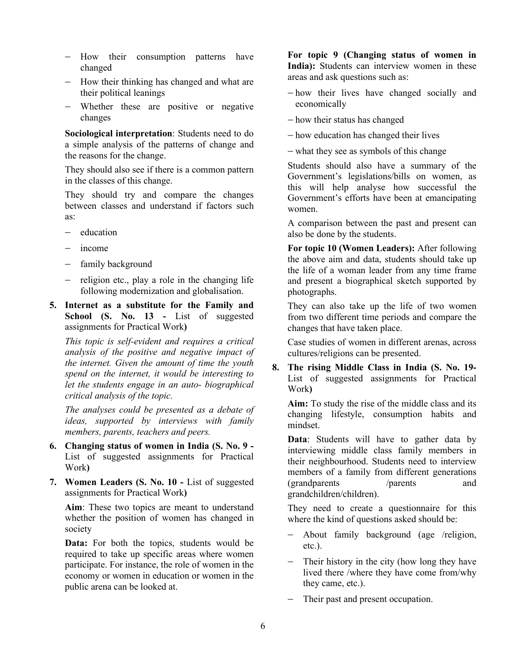- − How their consumption patterns have changed
- − How their thinking has changed and what are their political leanings
- − Whether these are positive or negative changes

**Sociological interpretation**: Students need to do a simple analysis of the patterns of change and the reasons for the change.

They should also see if there is a common pattern in the classes of this change.

They should try and compare the changes between classes and understand if factors such as:

- − education
- − income
- − family background
- − religion etc., play a role in the changing life following modernization and globalisation.
- **5. Internet as a substitute for the Family and School (S. No. 13 -** List of suggested assignments for Practical Work**)**

*This topic is self-evident and requires a critical analysis of the positive and negative impact of the internet. Given the amount of time the youth spend on the internet, it would be interesting to let the students engage in an auto- biographical critical analysis of the topic.* 

*The analyses could be presented as a debate of ideas, supported by interviews with family members, parents, teachers and peers.*

- **6. Changing status of women in India (S. No. 9 -** List of suggested assignments for Practical Work**)**
- **7. Women Leaders (S. No. 10 -** List of suggested assignments for Practical Work**)**

**Aim**: These two topics are meant to understand whether the position of women has changed in society

Data: For both the topics, students would be required to take up specific areas where women participate. For instance, the role of women in the economy or women in education or women in the public arena can be looked at.

**For topic 9 (Changing status of women in India):** Students can interview women in these areas and ask questions such as:

- − how their lives have changed socially and economically
- − how their status has changed

− how education has changed their lives

− what they see as symbols of this change

Students should also have a summary of the Government's legislations/bills on women, as this will help analyse how successful the Government's efforts have been at emancipating women.

A comparison between the past and present can also be done by the students.

**For topic 10 (Women Leaders):** After following the above aim and data, students should take up the life of a woman leader from any time frame and present a biographical sketch supported by photographs.

They can also take up the life of two women from two different time periods and compare the changes that have taken place.

Case studies of women in different arenas, across cultures/religions can be presented.

**8. The rising Middle Class in India (S. No. 19-** List of suggested assignments for Practical Work**)**

**Aim:** To study the rise of the middle class and its changing lifestyle, consumption habits and mindset.

**Data**: Students will have to gather data by interviewing middle class family members in their neighbourhood. Students need to interview members of a family from different generations (grandparents /parents and grandchildren/children).

They need to create a questionnaire for this where the kind of questions asked should be:

- − About family background (age /religion, etc.).
- − Their history in the city (how long they have lived there /where they have come from/why they came, etc.).
- − Their past and present occupation.